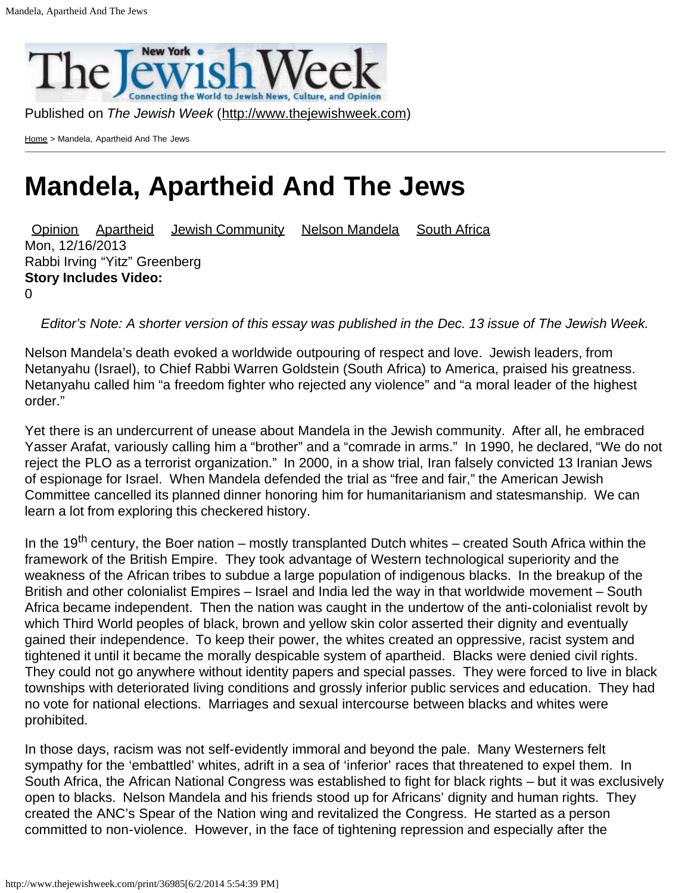

Published on *The Jewish Week* ([http://www.thejewishweek.com\)](http://www.thejewishweek.com/)

[Home](http://www.thejewishweek.com/) > Mandela, Apartheid And The Jews

## **Mandela, Apartheid And The Jews**

[Opinion](http://www.thejewishweek.com/sections/editorial-opinion/opinion) [Apartheid](http://www.thejewishweek.com/apartheid_0) [Jewish Community](http://www.thejewishweek.com/category/topic_tags/jewish_community) [Nelson Mandela](http://www.thejewishweek.com/nelson-mandela) [South Africa](http://www.thejewishweek.com/south_africa_0) Mon, 12/16/2013 Rabbi Irving "Yitz" Greenberg **Story Includes Video:**  $\Omega$ 

*Editor's Note: A shorter version of this essay was published in the Dec. 13 issue of The Jewish Week.*

Nelson Mandela's death evoked a worldwide outpouring of respect and love. Jewish leaders, from Netanyahu (Israel), to Chief Rabbi Warren Goldstein (South Africa) to America, praised his greatness. Netanyahu called him "a freedom fighter who rejected any violence" and "a moral leader of the highest order."

Yet there is an undercurrent of unease about Mandela in the Jewish community. After all, he embraced Yasser Arafat, variously calling him a "brother" and a "comrade in arms." In 1990, he declared, "We do not reject the PLO as a terrorist organization." In 2000, in a show trial, Iran falsely convicted 13 Iranian Jews of espionage for Israel. When Mandela defended the trial as "free and fair," the American Jewish Committee cancelled its planned dinner honoring him for humanitarianism and statesmanship. We can learn a lot from exploring this checkered history.

In the 19<sup>th</sup> century, the Boer nation – mostly transplanted Dutch whites – created South Africa within the framework of the British Empire. They took advantage of Western technological superiority and the weakness of the African tribes to subdue a large population of indigenous blacks. In the breakup of the British and other colonialist Empires – Israel and India led the way in that worldwide movement – South Africa became independent. Then the nation was caught in the undertow of the anti-colonialist revolt by which Third World peoples of black, brown and yellow skin color asserted their dignity and eventually gained their independence. To keep their power, the whites created an oppressive, racist system and tightened it until it became the morally despicable system of apartheid. Blacks were denied civil rights. They could not go anywhere without identity papers and special passes. They were forced to live in black townships with deteriorated living conditions and grossly inferior public services and education. They had no vote for national elections. Marriages and sexual intercourse between blacks and whites were prohibited.

In those days, racism was not self-evidently immoral and beyond the pale. Many Westerners felt sympathy for the 'embattled' whites, adrift in a sea of 'inferior' races that threatened to expel them. In South Africa, the African National Congress was established to fight for black rights – but it was exclusively open to blacks. Nelson Mandela and his friends stood up for Africans' dignity and human rights. They created the ANC's Spear of the Nation wing and revitalized the Congress. He started as a person committed to non-violence. However, in the face of tightening repression and especially after the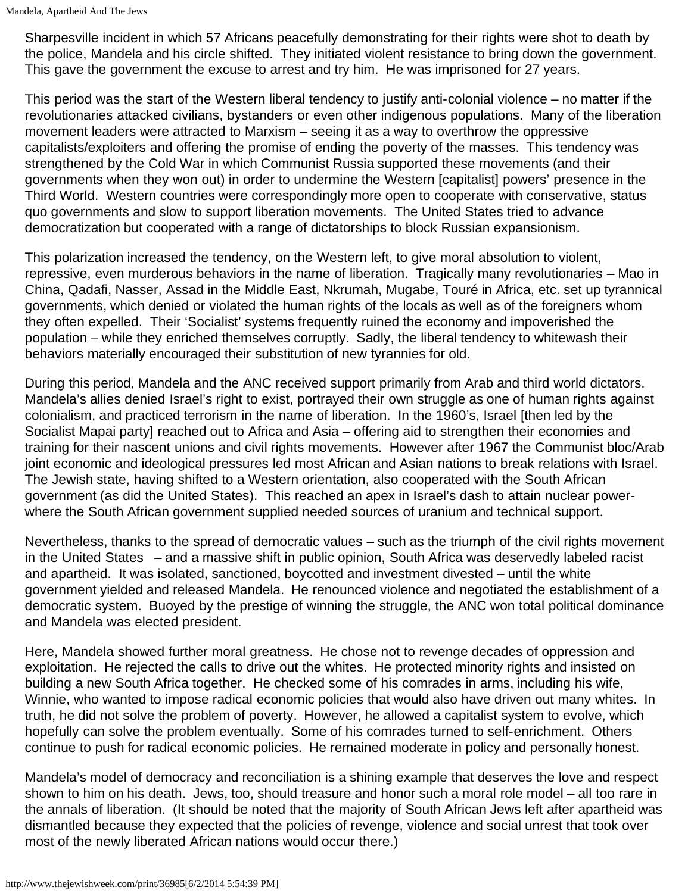Sharpesville incident in which 57 Africans peacefully demonstrating for their rights were shot to death by the police, Mandela and his circle shifted. They initiated violent resistance to bring down the government. This gave the government the excuse to arrest and try him. He was imprisoned for 27 years.

This period was the start of the Western liberal tendency to justify anti-colonial violence – no matter if the revolutionaries attacked civilians, bystanders or even other indigenous populations. Many of the liberation movement leaders were attracted to Marxism – seeing it as a way to overthrow the oppressive capitalists/exploiters and offering the promise of ending the poverty of the masses. This tendency was strengthened by the Cold War in which Communist Russia supported these movements (and their governments when they won out) in order to undermine the Western [capitalist] powers' presence in the Third World. Western countries were correspondingly more open to cooperate with conservative, status quo governments and slow to support liberation movements. The United States tried to advance democratization but cooperated with a range of dictatorships to block Russian expansionism.

This polarization increased the tendency, on the Western left, to give moral absolution to violent, repressive, even murderous behaviors in the name of liberation. Tragically many revolutionaries – Mao in China, Qadafi, Nasser, Assad in the Middle East, Nkrumah, Mugabe, Touré in Africa, etc. set up tyrannical governments, which denied or violated the human rights of the locals as well as of the foreigners whom they often expelled. Their 'Socialist' systems frequently ruined the economy and impoverished the population – while they enriched themselves corruptly. Sadly, the liberal tendency to whitewash their behaviors materially encouraged their substitution of new tyrannies for old.

During this period, Mandela and the ANC received support primarily from Arab and third world dictators. Mandela's allies denied Israel's right to exist, portrayed their own struggle as one of human rights against colonialism, and practiced terrorism in the name of liberation. In the 1960's, Israel [then led by the Socialist Mapai party] reached out to Africa and Asia – offering aid to strengthen their economies and training for their nascent unions and civil rights movements. However after 1967 the Communist bloc/Arab joint economic and ideological pressures led most African and Asian nations to break relations with Israel. The Jewish state, having shifted to a Western orientation, also cooperated with the South African government (as did the United States). This reached an apex in Israel's dash to attain nuclear powerwhere the South African government supplied needed sources of uranium and technical support.

Nevertheless, thanks to the spread of democratic values – such as the triumph of the civil rights movement in the United States – and a massive shift in public opinion, South Africa was deservedly labeled racist and apartheid. It was isolated, sanctioned, boycotted and investment divested – until the white government yielded and released Mandela. He renounced violence and negotiated the establishment of a democratic system. Buoyed by the prestige of winning the struggle, the ANC won total political dominance and Mandela was elected president.

Here, Mandela showed further moral greatness. He chose not to revenge decades of oppression and exploitation. He rejected the calls to drive out the whites. He protected minority rights and insisted on building a new South Africa together. He checked some of his comrades in arms, including his wife, Winnie, who wanted to impose radical economic policies that would also have driven out many whites. In truth, he did not solve the problem of poverty. However, he allowed a capitalist system to evolve, which hopefully can solve the problem eventually. Some of his comrades turned to self-enrichment. Others continue to push for radical economic policies. He remained moderate in policy and personally honest.

Mandela's model of democracy and reconciliation is a shining example that deserves the love and respect shown to him on his death. Jews, too, should treasure and honor such a moral role model – all too rare in the annals of liberation. (It should be noted that the majority of South African Jews left after apartheid was dismantled because they expected that the policies of revenge, violence and social unrest that took over most of the newly liberated African nations would occur there.)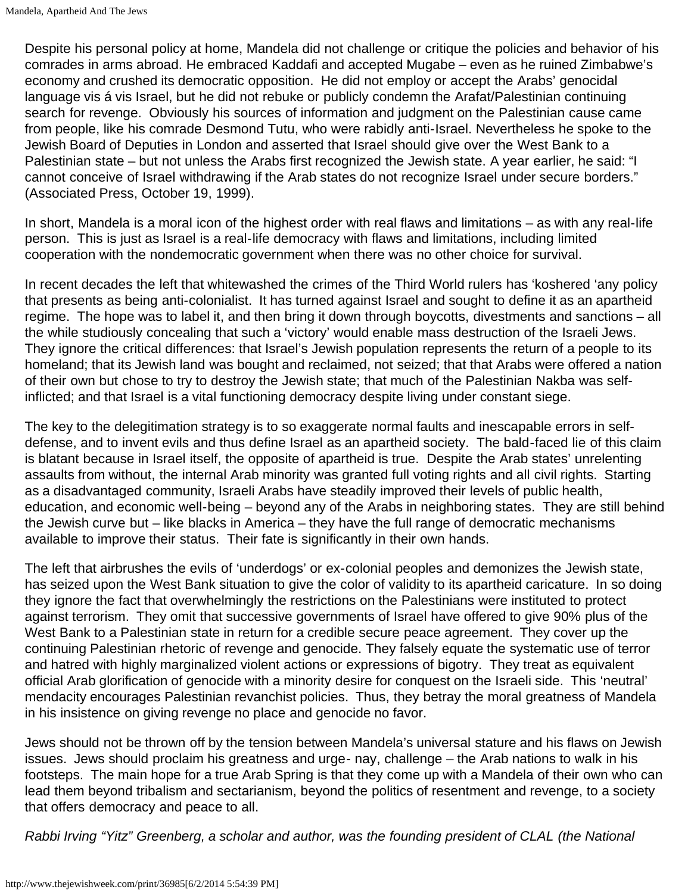Despite his personal policy at home, Mandela did not challenge or critique the policies and behavior of his comrades in arms abroad. He embraced Kaddafi and accepted Mugabe – even as he ruined Zimbabwe's economy and crushed its democratic opposition. He did not employ or accept the Arabs' genocidal language vis á vis Israel, but he did not rebuke or publicly condemn the Arafat/Palestinian continuing search for revenge. Obviously his sources of information and judgment on the Palestinian cause came from people, like his comrade Desmond Tutu, who were rabidly anti-Israel. Nevertheless he spoke to the Jewish Board of Deputies in London and asserted that Israel should give over the West Bank to a Palestinian state – but not unless the Arabs first recognized the Jewish state. A year earlier, he said: "I cannot conceive of Israel withdrawing if the Arab states do not recognize Israel under secure borders." (Associated Press, October 19, 1999).

In short, Mandela is a moral icon of the highest order with real flaws and limitations – as with any real-life person. This is just as Israel is a real-life democracy with flaws and limitations, including limited cooperation with the nondemocratic government when there was no other choice for survival.

In recent decades the left that whitewashed the crimes of the Third World rulers has 'koshered 'any policy that presents as being anti-colonialist. It has turned against Israel and sought to define it as an apartheid regime. The hope was to label it, and then bring it down through boycotts, divestments and sanctions – all the while studiously concealing that such a 'victory' would enable mass destruction of the Israeli Jews. They ignore the critical differences: that Israel's Jewish population represents the return of a people to its homeland; that its Jewish land was bought and reclaimed, not seized; that that Arabs were offered a nation of their own but chose to try to destroy the Jewish state; that much of the Palestinian Nakba was selfinflicted; and that Israel is a vital functioning democracy despite living under constant siege.

The key to the delegitimation strategy is to so exaggerate normal faults and inescapable errors in selfdefense, and to invent evils and thus define Israel as an apartheid society. The bald-faced lie of this claim is blatant because in Israel itself, the opposite of apartheid is true. Despite the Arab states' unrelenting assaults from without, the internal Arab minority was granted full voting rights and all civil rights. Starting as a disadvantaged community, Israeli Arabs have steadily improved their levels of public health, education, and economic well-being – beyond any of the Arabs in neighboring states. They are still behind the Jewish curve but – like blacks in America – they have the full range of democratic mechanisms available to improve their status. Their fate is significantly in their own hands.

The left that airbrushes the evils of 'underdogs' or ex-colonial peoples and demonizes the Jewish state, has seized upon the West Bank situation to give the color of validity to its apartheid caricature. In so doing they ignore the fact that overwhelmingly the restrictions on the Palestinians were instituted to protect against terrorism. They omit that successive governments of Israel have offered to give 90% plus of the West Bank to a Palestinian state in return for a credible secure peace agreement. They cover up the continuing Palestinian rhetoric of revenge and genocide. They falsely equate the systematic use of terror and hatred with highly marginalized violent actions or expressions of bigotry. They treat as equivalent official Arab glorification of genocide with a minority desire for conquest on the Israeli side. This 'neutral' mendacity encourages Palestinian revanchist policies. Thus, they betray the moral greatness of Mandela in his insistence on giving revenge no place and genocide no favor.

Jews should not be thrown off by the tension between Mandela's universal stature and his flaws on Jewish issues. Jews should proclaim his greatness and urge- nay, challenge – the Arab nations to walk in his footsteps. The main hope for a true Arab Spring is that they come up with a Mandela of their own who can lead them beyond tribalism and sectarianism, beyond the politics of resentment and revenge, to a society that offers democracy and peace to all.

*Rabbi Irving "Yitz" Greenberg, a scholar and author, was the founding president of CLAL (the National*